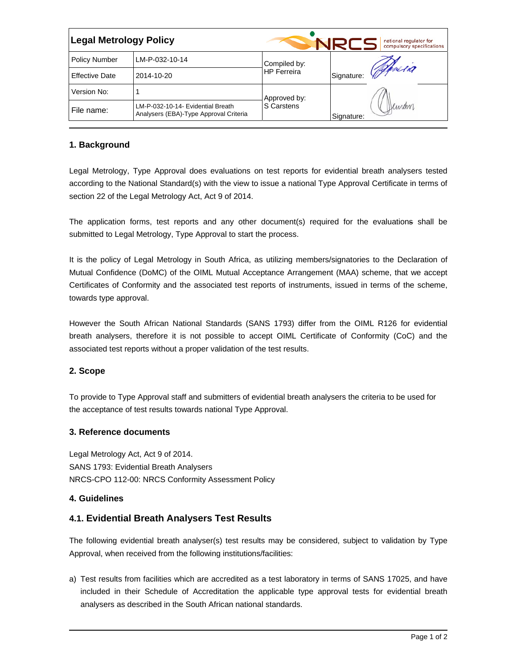| <b>Legal Metrology Policy</b> |                                                                             |                                    |            | national regulator for<br>compulsory specifications |  |
|-------------------------------|-----------------------------------------------------------------------------|------------------------------------|------------|-----------------------------------------------------|--|
| <b>Policy Number</b>          | LM-P-032-10-14                                                              | Compiled by:<br><b>HP</b> Ferreira |            | Offreia                                             |  |
| <b>Effective Date</b>         | 2014-10-20                                                                  |                                    | Signature: |                                                     |  |
| Version No:                   |                                                                             | Approved by:<br>S Carstens         |            |                                                     |  |
| File name:                    | LM-P-032-10-14- Evidential Breath<br>Analysers (EBA)-Type Approval Criteria |                                    | Signature: | Deman                                               |  |

## **1. Background**

Legal Metrology, Type Approval does evaluations on test reports for evidential breath analysers tested according to the National Standard(s) with the view to issue a national Type Approval Certificate in terms of section 22 of the Legal Metrology Act, Act 9 of 2014.

The application forms, test reports and any other document(s) required for the evaluations shall be submitted to Legal Metrology, Type Approval to start the process.

It is the policy of Legal Metrology in South Africa, as utilizing members/signatories to the Declaration of Mutual Confidence (DoMC) of the OIML Mutual Acceptance Arrangement (MAA) scheme, that we accept Certificates of Conformity and the associated test reports of instruments, issued in terms of the scheme, towards type approval.

However the South African National Standards (SANS 1793) differ from the OIML R126 for evidential breath analysers, therefore it is not possible to accept OIML Certificate of Conformity (CoC) and the associated test reports without a proper validation of the test results.

### **2. Scope**

To provide to Type Approval staff and submitters of evidential breath analysers the criteria to be used for the acceptance of test results towards national Type Approval.

### **3. Reference documents**

Legal Metrology Act, Act 9 of 2014. SANS 1793: Evidential Breath Analysers NRCS-CPO 112-00: NRCS Conformity Assessment Policy

### **4. Guidelines**

# **4.1. Evidential Breath Analysers Test Results**

The following evidential breath analyser(s) test results may be considered, subject to validation by Type Approval, when received from the following institutions/facilities:

a) Test results from facilities which are accredited as a test laboratory in terms of SANS 17025, and have included in their Schedule of Accreditation the applicable type approval tests for evidential breath analysers as described in the South African national standards.